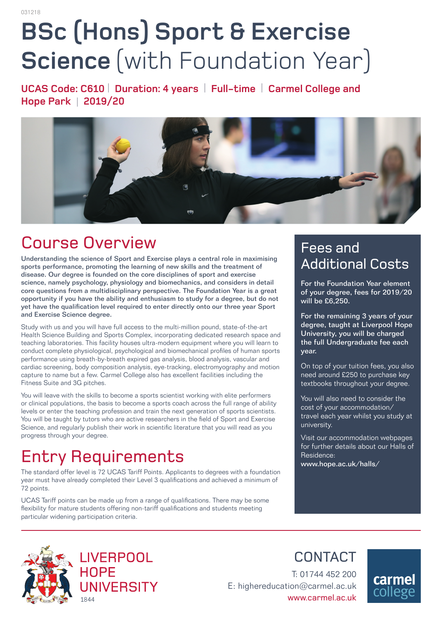# **BSc (Hons) Sport & Exercise Science** (with Foundation Year)

**UCAS Code: C610** | **Duration: 4 years** | **Full-time** | **Carmel College and Hope Park** | **2019/20** 



# Course Overview

Understanding the science of Sport and Exercise plays a central role in maximising sports performance, promoting the learning of new skills and the treatment of disease. Our degree is founded on the core disciplines of sport and exercise science, namely psychology, physiology and biomechanics, and considers in detail core questions from a multidisciplinary perspective. The Foundation Year is a great opportunity if you have the ability and enthusiasm to study for a degree, but do not yet have the qualification level required to enter directly onto our three year Sport and Exercise Science degree.

Study with us and you will have full access to the multi-million pound, state-of-the-art Health Science Building and Sports Complex, incorporating dedicated research space and teaching laboratories. This facility houses ultra-modern equipment where you will learn to conduct complete physiological, psychological and biomechanical profiles of human sports performance using breath-by-breath expired gas analysis, blood analysis, vascular and cardiac screening, body composition analysis, eye-tracking, electromyography and motion capture to name but a few. Carmel College also has excellent facilities including the Fitness Suite and 3G pitches.

You will leave with the skills to become a sports scientist working with elite performers or clinical populations, the basis to become a sports coach across the full range of ability levels or enter the teaching profession and train the next generation of sports scientists. You will be taught by tutors who are active researchers in the field of Sport and Exercise Science, and regularly publish their work in scientific literature that you will read as you progress through your degree.

# Entry Requirements

1844

The standard offer level is 72 UCAS Tariff Points. Applicants to degrees with a foundation year must have already completed their Level 3 qualifications and achieved a minimum of 72 points.

UCAS Tariff points can be made up from a range of qualifications. There may be some flexibility for mature students offering non-tariff qualifications and students meeting particular widening participation criteria.

### Fees and Additional Costs

For the Foundation Year element of your degree, fees for 2019/20 will be £6,250.

For the remaining 3 years of your degree, taught at Liverpool Hope University, you will be charged the full Undergraduate fee each year.

On top of your tuition fees, you also need around £250 to purchase key textbooks throughout your degree.

You will also need to consider the cost of your accommodation/ travel each year whilst you study at university.

Visit our accommodation webpages for further details about our Halls of Residence:

www.hope.ac.uk/halls/



**LIVERPOOL HOPE** UNIVERSITY CONTACT

T: 01744 452 200 E: highereducation@carmel.ac.uk www.carmel.ac.uk